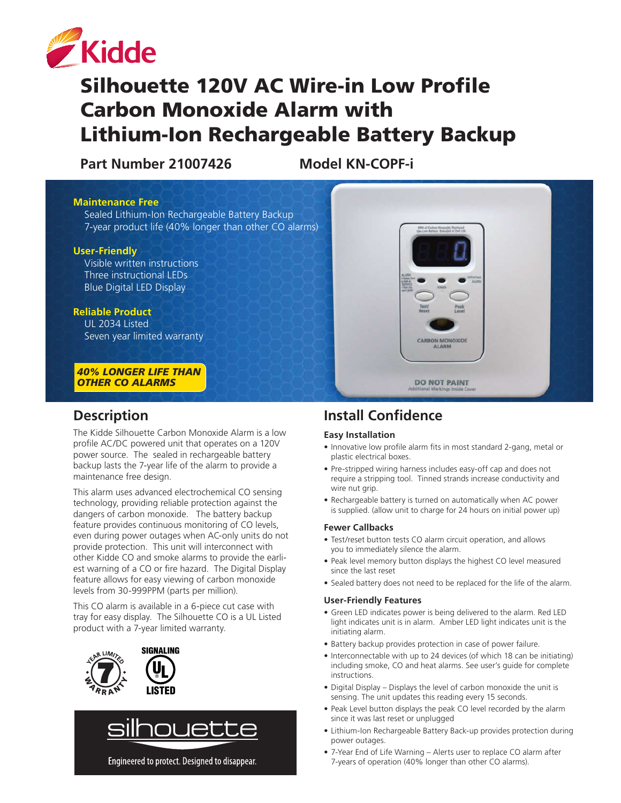

# Silhouette 120V AC Wire-in Low Profile Carbon Monoxide Alarm with Lithium-Ion Rechargeable Battery Backup

**Part Number 21007426 Model KN-COPF-i**

#### **Maintenance Free**

 Sealed Lithium-Ion Rechargeable Battery Backup 7-year product life (40% longer than other CO alarms)

#### **User-Friendly**

Visible written instructions Three instructional LEDs Blue Digital LED Display

#### **Reliable Product**

UL 2034 Listed Seven year limited warranty

*40% LONGER LIFE THAN OTHER CO ALARMS*

### **Description**

NEW Longitude of the second second

> The Kidde Silhouette Carbon Monoxide Alarm is a low profile AC/DC powered unit that operates on a 120V power source. The sealed in rechargeable battery backup lasts the 7-year life of the alarm to provide a maintenance free design.

This alarm uses advanced electrochemical CO sensing technology, providing reliable protection against the dangers of carbon monoxide. The battery backup feature provides continuous monitoring of CO levels, even during power outages when AC-only units do not provide protection. This unit will interconnect with other Kidde CO and smoke alarms to provide the earliest warning of a CO or fire hazard. The Digital Display feature allows for easy viewing of carbon monoxide levels from 30-999PPM (parts per million).

This CO alarm is available in a 6-piece cut case with tray for easy display. The Silhouette CO is a UL Listed product with a 7-year limited warranty.





Engineered to protect. Designed to disappear.

# **Install Confidence**

#### **Easy Installation**

• Innovative low profile alarm fits in most standard 2-gang, metal or plastic electrical boxes.

**ALARM** 

**DO NOT PAINT** 

- Pre-stripped wiring harness includes easy-off cap and does not require a stripping tool. Tinned strands increase conductivity and wire nut grip.
- Rechargeable battery is turned on automatically when AC power is supplied. (allow unit to charge for 24 hours on initial power up)

#### **Fewer Callbacks**

- Test/reset button tests CO alarm circuit operation, and allows you to immediately silence the alarm.
- Peak level memory button displays the highest CO level measured since the last reset
- Sealed battery does not need to be replaced for the life of the alarm.

#### **User-Friendly Features**

- Green LED indicates power is being delivered to the alarm. Red LED light indicates unit is in alarm. Amber LED light indicates unit is the initiating alarm.
- Battery backup provides protection in case of power failure.
- Interconnectable with up to 24 devices (of which 18 can be initiating) including smoke, CO and heat alarms. See user's guide for complete instructions.
- Digital Display Displays the level of carbon monoxide the unit is sensing. The unit updates this reading every 15 seconds.
- Peak Level button displays the peak CO level recorded by the alarm since it was last reset or unplugged
- Lithium-Ion Rechargeable Battery Back-up provides protection during power outages.
- 7-Year End of Life Warning Alerts user to replace CO alarm after 7-years of operation (40% longer than other CO alarms).